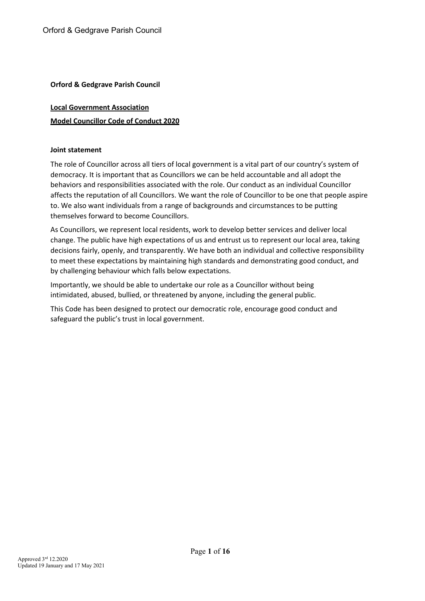# **Local Government Association Model Councillor Code of Conduct 2020**

#### **Joint statement**

The role of Councillor across all tiers of local government is a vital part of our country's system of democracy. It is important that as Councillors we can be held accountable and all adopt the behaviors and responsibilities associated with the role. Our conduct as an individual Councillor affects the reputation of all Councillors. We want the role of Councillor to be one that people aspire to. We also want individuals from a range of backgrounds and circumstances to be putting themselves forward to become Councillors.

As Councillors, we represent local residents, work to develop better services and deliver local change. The public have high expectations of us and entrust us to represent our local area, taking decisions fairly, openly, and transparently. We have both an individual and collective responsibility to meet these expectations by maintaining high standards and demonstrating good conduct, and by challenging behaviour which falls below expectations.

Importantly, we should be able to undertake our role as a Councillor without being intimidated, abused, bullied, or threatened by anyone, including the general public.

This Code has been designed to protect our democratic role, encourage good conduct and safeguard the public's trust in local government.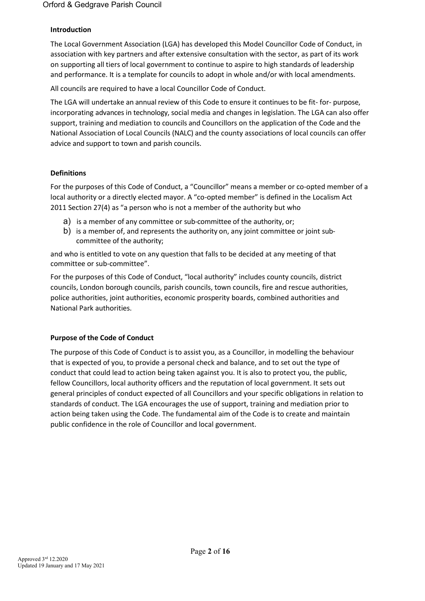### **Introduction**

The Local Government Association (LGA) has developed this Model Councillor Code of Conduct, in association with key partners and after extensive consultation with the sector, as part of its work on supporting all tiers of local government to continue to aspire to high standards of leadership and performance. It is a template for councils to adopt in whole and/or with local amendments.

All councils are required to have a local Councillor Code of Conduct.

The LGA will undertake an annual review of this Code to ensure it continues to be fit- for- purpose, incorporating advances in technology, social media and changes in legislation. The LGA can also offer support, training and mediation to councils and Councillors on the application of the Code and the National Association of Local Councils (NALC) and the county associations of local councils can offer advice and support to town and parish councils.

#### **Definitions**

For the purposes of this Code of Conduct, a "Councillor" means a member or co-opted member of a local authority or a directly elected mayor. A "co-opted member" is defined in the Localism Act 2011 Section 27(4) as "a person who is not a member of the authority but who

- a) is a member of any committee or sub-committee of the authority, or;
- b) is a member of, and represents the authority on, any joint committee or joint subcommittee of the authority;

and who is entitled to vote on any question that falls to be decided at any meeting of that committee or sub-committee".

For the purposes of this Code of Conduct, "local authority" includes county councils, district councils, London borough councils, parish councils, town councils, fire and rescue authorities, police authorities, joint authorities, economic prosperity boards, combined authorities and National Park authorities.

#### **Purpose of the Code of Conduct**

The purpose of this Code of Conduct is to assist you, as a Councillor, in modelling the behaviour that is expected of you, to provide a personal check and balance, and to set out the type of conduct that could lead to action being taken against you. It is also to protect you, the public, fellow Councillors, local authority officers and the reputation of local government. It sets out general principles of conduct expected of all Councillors and your specific obligations in relation to standards of conduct. The LGA encourages the use of support, training and mediation prior to action being taken using the Code. The fundamental aim of the Code is to create and maintain public confidence in the role of Councillor and local government.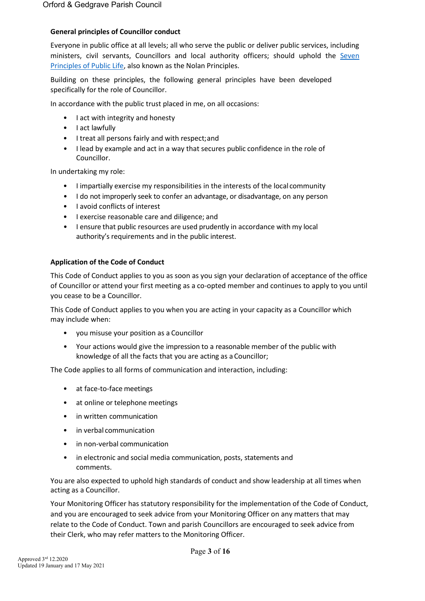### **General principles of Councillor conduct**

Everyone in public office at all levels; all who serve the public or deliver public services, including ministers, civil servants, Councillors and local authority officers; should uphold the [Seven](https://www.gov.uk/government/publications/the-7-principles-of-public-life/the-7-principles-of-public-life--2)  [Principles of Public Life, a](https://www.gov.uk/government/publications/the-7-principles-of-public-life/the-7-principles-of-public-life--2)lso known as the Nolan Principles.

Building on these principles, the following general principles have been developed specifically for the role of Councillor.

In accordance with the public trust placed in me, on all occasions:

- I act with integrity and honesty
- I act lawfully
- I treat all persons fairly and with respect;and
- I lead by example and act in a way that secures public confidence in the role of Councillor.

In undertaking my role:

- I impartially exercise my responsibilities in the interests of the local community
- I do not improperly seek to confer an advantage, or disadvantage, on any person
- I avoid conflicts of interest
- I exercise reasonable care and diligence; and
- I ensure that public resources are used prudently in accordance with my local authority's requirements and in the public interest.

#### **Application of the Code of Conduct**

This Code of Conduct applies to you as soon as you sign your declaration of acceptance of the office of Councillor or attend your first meeting as a co-opted member and continues to apply to you until you cease to be a Councillor.

This Code of Conduct applies to you when you are acting in your capacity as a Councillor which may include when:

- you misuse your position as a Councillor
- Your actions would give the impression to a reasonable member of the public with knowledge of all the facts that you are acting as a Councillor;

The Code applies to all forms of communication and interaction, including:

- at face-to-face meetings
- at online or telephone meetings
- in written communication
- in verbal communication
- in non-verbal communication
- in electronic and social media communication, posts, statements and comments.

You are also expected to uphold high standards of conduct and show leadership at all times when acting as a Councillor.

Your Monitoring Officer has statutory responsibility for the implementation of the Code of Conduct, and you are encouraged to seek advice from your Monitoring Officer on any matters that may relate to the Code of Conduct. Town and parish Councillors are encouraged to seek advice from their Clerk, who may refer matters to the Monitoring Officer.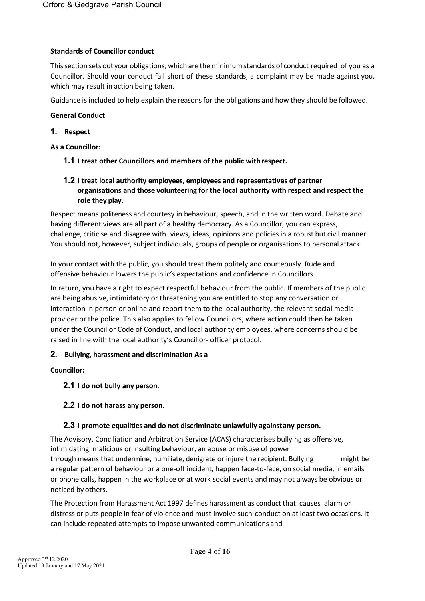# **Standards of Councillor conduct**

Thissection sets out your obligations, which are theminimumstandards of conduct required of you as a Councillor. Should your conduct fall short of these standards, a complaint may be made against you, which may result in action being taken.

Guidance is included to help explain the reasons for the obligations and how they should be followed.

### **General Conduct**

### **1. Respect**

### **As a Councillor:**

**1.1 I treat other Councillors and members of the public withrespect.**

# **1.2 I treat local authority employees, employees and representatives of partner organisations and those volunteering for the local authority with respect and respect the role they play.**

Respect means politeness and courtesy in behaviour, speech, and in the written word. Debate and having different views are all part of a healthy democracy. As a Councillor, you can express, challenge, criticise and disagree with views, ideas, opinions and policies in a robust but civil manner. You should not, however, subject individuals, groups of people or organisations to personal attack.

In your contact with the public, you should treat them politely and courteously. Rude and offensive behaviour lowers the public's expectations and confidence in Councillors.

In return, you have a right to expect respectful behaviour from the public. If members of the public are being abusive, intimidatory or threatening you are entitled to stop any conversation or interaction in person or online and report them to the local authority, the relevant social media provider or the police. This also applies to fellow Councillors, where action could then be taken under the Councillor Code of Conduct, and local authority employees, where concerns should be raised in line with the local authority's Councillor- officer protocol.

# **2. Bullying, harassment and discrimination As a**

# **Councillor:**

- **2.1 I do not bully any person.**
- **2.2 I do not harass any person.**

# **2.3 I promote equalities and do not discriminate unlawfully againstany person.**

The Advisory, Conciliation and Arbitration Service (ACAS) characterises bullying as offensive, intimidating, malicious or insulting behaviour, an abuse or misuse of power through means that undermine, humiliate, denigrate or injure the recipient. Bullying might be a regular pattern of behaviour or a one-off incident, happen face-to-face, on social media, in emails or phone calls, happen in the workplace or at work social events and may not always be obvious or noticed by others.

The Protection from Harassment Act 1997 defines harassment as conduct that causes alarm or distress or puts people in fear of violence and must involve such conduct on at least two occasions. It can include repeated attempts to impose unwanted communications and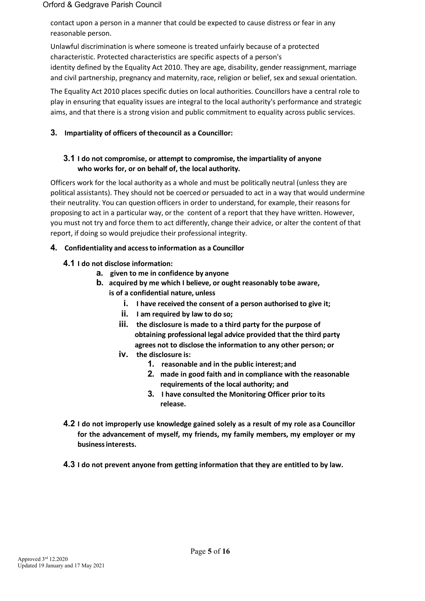contact upon a person in a manner that could be expected to cause distress or fear in any reasonable person.

Unlawful discrimination is where someone is treated unfairly because of a protected characteristic. Protected characteristics are specific aspects of a person's identity defined by the Equality Act 2010. They are age, disability, gender reassignment, marriage and civil partnership, pregnancy and maternity, race, religion or belief, sex and sexual orientation.

The Equality Act 2010 places specific duties on local authorities. Councillors have a central role to play in ensuring that equality issues are integral to the local authority's performance and strategic aims, and that there is a strong vision and public commitment to equality across public services.

# **3. Impartiality of officers of thecouncil as a Councillor:**

# **3.1 I do not compromise, or attempt to compromise, the impartiality of anyone who works for, or on behalf of, the local authority.**

Officers work for the local authority as a whole and must be politically neutral (unless they are political assistants). They should not be coerced or persuaded to act in a way that would undermine their neutrality. You can question officers in order to understand, for example, their reasons for proposing to act in a particular way, or the content of a report that they have written. However, you must not try and force them to act differently, change their advice, or alter the content of that report, if doing so would prejudice their professional integrity.

# **4. Confidentiality and accessto information as a Councillor**

- **4.1 I do not disclose information:**
	- **a. given to me in confidence by anyone**
	- **b. acquired by me which I believe, or ought reasonably tobe aware, is of a confidential nature, unless**
		- **i. I have received the consent of a person authorised to give it;**
		- **ii. I am required by law to do so;**
		- **iii. the disclosure is made to a third party for the purpose of obtaining professional legal advice provided that the third party agrees not to disclose the information to any other person; or**
		- **iv. the disclosure is:**
			- **1. reasonable and in the public interest; and**
			- **2. made in good faith and in compliance with the reasonable requirements of the local authority; and**
			- **3. I have consulted the Monitoring Officer prior toits release.**
- **4.2 I do not improperly use knowledge gained solely as a result of my role asa Councillor for the advancement of myself, my friends, my family members, my employer or my businessinterests.**
- **4.3 I do not prevent anyone from getting information that they are entitled to by law.**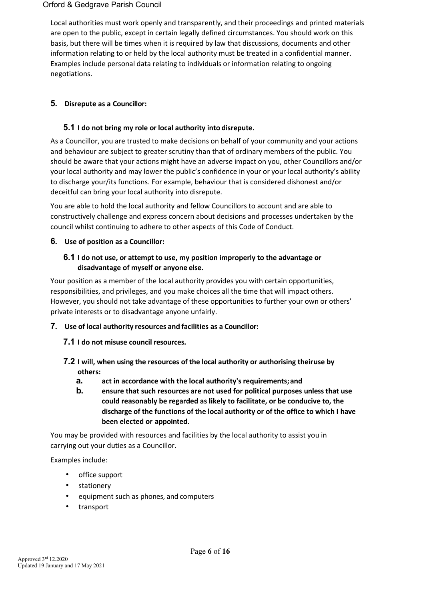Local authorities must work openly and transparently, and their proceedings and printed materials are open to the public, except in certain legally defined circumstances. You should work on this basis, but there will be times when it is required by law that discussions, documents and other information relating to or held by the local authority must be treated in a confidential manner. Examples include personal data relating to individuals or information relating to ongoing negotiations.

# **5. Disrepute as a Councillor:**

# **5.1 I do not bring my role or local authority into disrepute.**

As a Councillor, you are trusted to make decisions on behalf of your community and your actions and behaviour are subject to greater scrutiny than that of ordinary members of the public. You should be aware that your actions might have an adverse impact on you, other Councillors and/or your local authority and may lower the public's confidence in your or your local authority's ability to discharge your/its functions. For example, behaviour that is considered dishonest and/or deceitful can bring your local authority into disrepute.

You are able to hold the local authority and fellow Councillors to account and are able to constructively challenge and express concern about decisions and processes undertaken by the council whilst continuing to adhere to other aspects of this Code of Conduct.

# **6. Use of position as a Councillor:**

# **6.1 I do not use, or attempt to use, my position improperly to the advantage or disadvantage of myself or anyone else.**

Your position as a member of the local authority provides you with certain opportunities, responsibilities, and privileges, and you make choices all the time that will impact others. However, you should not take advantage of these opportunities to further your own or others' private interests or to disadvantage anyone unfairly.

- **7. Use of local authority resources and facilities as a Councillor:**
	- **7.1 I do not misuse council resources.**
	- **7.2 I will, when using the resources of the local authority or authorising theiruse by others:**
		- **a. act in accordance with the local authority's requirements;and**
		- **b. ensure that such resources are not used for political purposes unless that use could reasonably be regarded as likely to facilitate, or be conducive to, the discharge of the functions of the local authority or of the office to which I have been elected or appointed.**

You may be provided with resources and facilities by the local authority to assist you in carrying out your duties as a Councillor.

Examples include:

- office support
- stationery
- equipment such as phones, and computers
- transport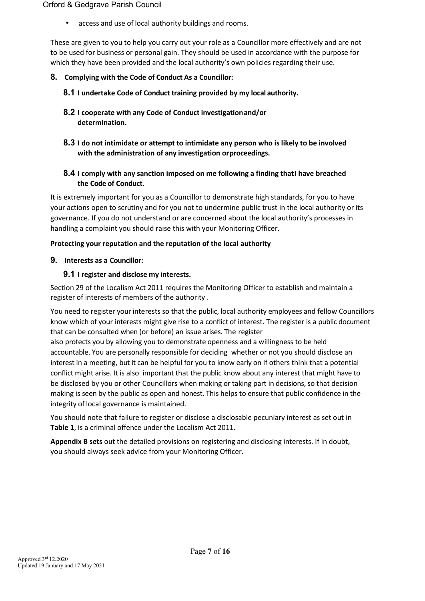access and use of local authority buildings and rooms.

These are given to you to help you carry out your role as a Councillor more effectively and are not to be used for business or personal gain. They should be used in accordance with the purpose for which they have been provided and the local authority's own policies regarding their use.

# **8. Complying with the Code of Conduct As a Councillor:**

- **8.1 I undertake Code of Conduct training provided by my local authority.**
- **8.2 I cooperate with any Code of Conduct investigationand/or determination.**
- **8.3 I do not intimidate or attempt to intimidate any person who is likely to be involved with the administration of any investigation orproceedings.**
- **8.4 I comply with any sanction imposed on me following a finding thatI have breached the Code of Conduct.**

It is extremely important for you as a Councillor to demonstrate high standards, for you to have your actions open to scrutiny and for you not to undermine public trust in the local authority or its governance. If you do not understand or are concerned about the local authority's processes in handling a complaint you should raise this with your Monitoring Officer.

# **Protecting your reputation and the reputation of the local authority**

**9. Interests as a Councillor:**

# **9.1 I register and disclose my interests.**

Section 29 of the Localism Act 2011 requires the Monitoring Officer to establish and maintain a register of interests of members of the authority .

You need to register your interests so that the public, local authority employees and fellow Councillors know which of your interests might give rise to a conflict of interest. The register is a public document that can be consulted when (or before) an issue arises. The register

also protects you by allowing you to demonstrate openness and a willingness to be held accountable. You are personally responsible for deciding whether or not you should disclose an interest in a meeting, but it can be helpful for you to know early on if others think that a potential conflict might arise. It is also important that the public know about any interest that might have to be disclosed by you or other Councillors when making or taking part in decisions, so that decision making is seen by the public as open and honest. This helps to ensure that public confidence in the integrity of local governance is maintained.

You should note that failure to register or disclose a disclosable pecuniary interest as set out in **Table 1**, is a criminal offence under the Localism Act 2011.

**Appendix B sets** out the detailed provisions on registering and disclosing interests. If in doubt, you should always seek advice from your Monitoring Officer.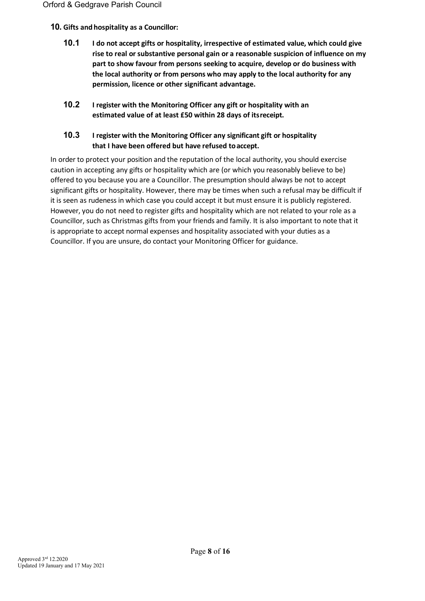# **10. Gifts andhospitality as a Councillor:**

- **10.1 I do not accept gifts or hospitality, irrespective of estimated value, which could give rise to real or substantive personal gain or a reasonable suspicion of influence on my part to show favour from persons seeking to acquire, develop or do business with the local authority or from persons who may apply to the local authority for any permission, licence or other significant advantage.**
- **10.2 I register with the Monitoring Officer any gift or hospitality with an estimated value of at least £50 within 28 days of itsreceipt.**

# **10.3 I register with the Monitoring Officer any significant gift or hospitality that I have been offered but have refused toaccept.**

In order to protect your position and the reputation of the local authority, you should exercise caution in accepting any gifts or hospitality which are (or which you reasonably believe to be) offered to you because you are a Councillor. The presumption should always be not to accept significant gifts or hospitality. However, there may be times when such a refusal may be difficult if it is seen as rudeness in which case you could accept it but must ensure it is publicly registered. However, you do not need to register gifts and hospitality which are not related to your role as a Councillor, such as Christmas gifts from your friends and family. It is also important to note that it is appropriate to accept normal expenses and hospitality associated with your duties as a Councillor. If you are unsure, do contact your Monitoring Officer for guidance.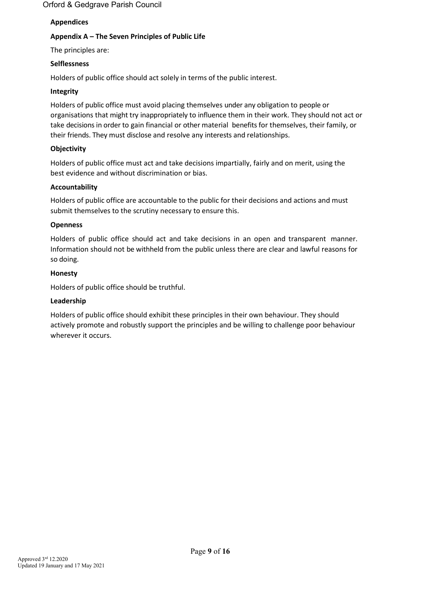# **Appendices**

# **Appendix A – The Seven Principles of Public Life**

The principles are:

# **Selflessness**

Holders of public office should act solely in terms of the public interest.

# **Integrity**

Holders of public office must avoid placing themselves under any obligation to people or organisations that might try inappropriately to influence them in their work. They should not act or take decisions in order to gain financial or other material benefits for themselves, their family, or their friends. They must disclose and resolve any interests and relationships.

# **Objectivity**

Holders of public office must act and take decisions impartially, fairly and on merit, using the best evidence and without discrimination or bias.

# **Accountability**

Holders of public office are accountable to the public for their decisions and actions and must submit themselves to the scrutiny necessary to ensure this.

# **Openness**

Holders of public office should act and take decisions in an open and transparent manner. Information should not be withheld from the public unless there are clear and lawful reasons for so doing.

# **Honesty**

Holders of public office should be truthful.

# **Leadership**

Holders of public office should exhibit these principles in their own behaviour. They should actively promote and robustly support the principles and be willing to challenge poor behaviour wherever it occurs.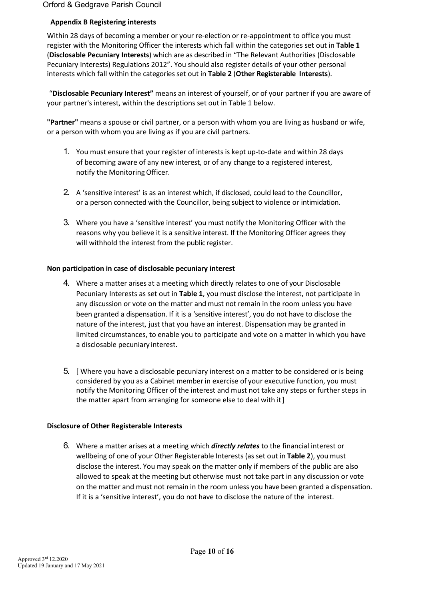# **Appendix B Registering interests**

Within 28 days of becoming a member or your re-election or re-appointment to office you must register with the Monitoring Officer the interests which fall within the categories set out in **Table 1**  (**Disclosable Pecuniary Interests**) which are as described in "The Relevant Authorities (Disclosable Pecuniary Interests) Regulations 2012". You should also register details of your other personal interests which fall within the categories set out in **Table 2** (**Other Registerable Interests**).

"**Disclosable Pecuniary Interest"** means an interest of yourself, or of your partner if you are aware of your partner's interest, within the descriptions set out in Table 1 below.

**"Partner"** means a spouse or civil partner, or a person with whom you are living as husband or wife, or a person with whom you are living as if you are civil partners.

- 1. You must ensure that your register of interests is kept up-to-date and within 28 days of becoming aware of any new interest, or of any change to a registered interest, notify the Monitoring Officer.
- 2. A 'sensitive interest' is as an interest which, if disclosed, could lead to the Councillor, or a person connected with the Councillor, being subject to violence or intimidation.
- 3. Where you have a 'sensitive interest' you must notify the Monitoring Officer with the reasons why you believe it is a sensitive interest. If the Monitoring Officer agrees they will withhold the interest from the public register.

# **Non participation in case of disclosable pecuniary interest**

- 4. Where a matter arises at a meeting which directly relates to one of your Disclosable Pecuniary Interests as set out in **Table 1**, you must disclose the interest, not participate in any discussion or vote on the matter and must not remain in the room unless you have been granted a dispensation. If it is a 'sensitive interest', you do not have to disclose the nature of the interest, just that you have an interest. Dispensation may be granted in limited circumstances, to enable you to participate and vote on a matter in which you have a disclosable pecuniary interest.
- 5. [ Where you have a disclosable pecuniary interest on a matter to be considered or is being considered by you as a Cabinet member in exercise of your executive function, you must notify the Monitoring Officer of the interest and must not take any steps or further steps in the matter apart from arranging for someone else to deal with it]

#### **Disclosure of Other Registerable Interests**

6. Where a matter arises at a meeting which *directly relates* to the financial interest or wellbeing of one of your Other Registerable Interests (as set out in **Table 2**), you must disclose the interest. You may speak on the matter only if members of the public are also allowed to speak at the meeting but otherwise must not take part in any discussion or vote on the matter and must not remain in the room unless you have been granted a dispensation. If it is a 'sensitive interest', you do not have to disclose the nature of the interest.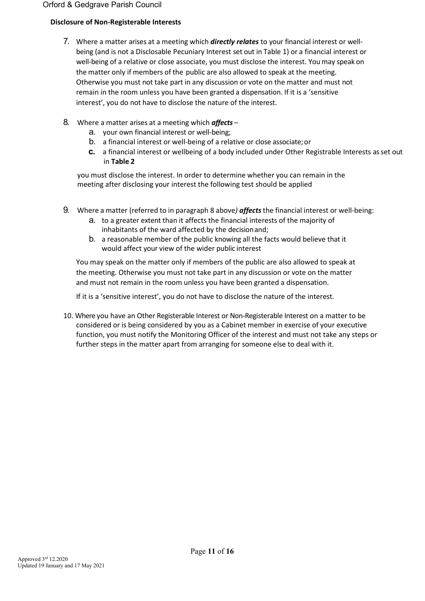# **Disclosure of Non-Registerable Interests**

- 7. Where a matter arises at a meeting which *directly relates* to your financial interest or wellbeing (and is not a Disclosable Pecuniary Interest set out in Table 1) or a financial interest or well-being of a relative or close associate, you must disclose the interest. Youmay speak on the matter only if members of the public are also allowed to speak at the meeting. Otherwise you must not take part in any discussion or vote on the matter and must not remain in the room unless you have been granted a dispensation. If it is a 'sensitive interest', you do not have to disclose the nature of the interest.
- 8. Where a matter arises at a meeting which *affects*
	- a. your own financial interest or well-being;
	- b. a financial interest or well-being of a relative or close associate;or
	- **c.** a financial interest or wellbeing of a body included under Other Registrable Interests as set out in **Table 2**

you must disclose the interest. In order to determine whether you can remain in the meeting after disclosing your interest the following test should be applied

- 9. Where a matter (referred to in paragraph 8 above*) affects*the financial interest or well-being:
	- a. to a greater extent than it affects the financial interests of the majority of inhabitants of the ward affected by the decisionand;
	- b. a reasonable member of the public knowing all the facts would believe that it would affect your view of the wider public interest

You may speak on the matter only if members of the public are also allowed to speak at the meeting. Otherwise you must not take part in any discussion or vote on the matter and must not remain in the room unless you have been granted a dispensation.

If it is a 'sensitive interest', you do not have to disclose the nature of the interest.

10. Where you have an Other Registerable Interest or Non-Registerable Interest on a matter to be considered or is being considered by you as a Cabinet member in exercise of your executive function, you must notify the Monitoring Officer of the interest and must not take any steps or further steps in the matter apart from arranging for someone else to deal with it.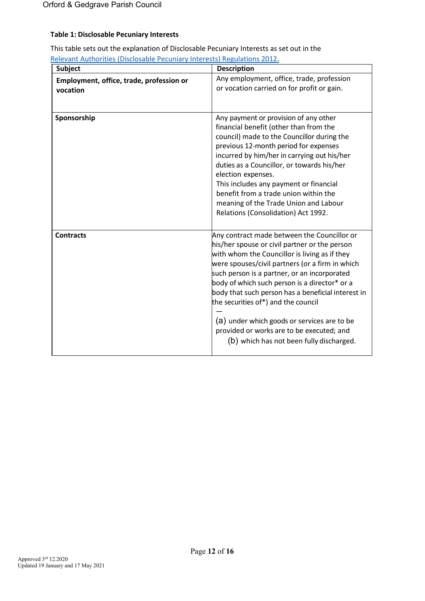# **Table 1: Disclosable Pecuniary Interests**

| This table sets out the explanation of Disclosable Pecuniary Interests as set out in the |  |
|------------------------------------------------------------------------------------------|--|
| Relevant Authorities (Disclosable Pecuniary Interests) Regulations 2012.                 |  |

| <b>Subject</b>                           | <b>Description</b>                                                                                                                                                                                                                                                                                                                                                                                                                                                                                                                     |
|------------------------------------------|----------------------------------------------------------------------------------------------------------------------------------------------------------------------------------------------------------------------------------------------------------------------------------------------------------------------------------------------------------------------------------------------------------------------------------------------------------------------------------------------------------------------------------------|
| Employment, office, trade, profession or | Any employment, office, trade, profession<br>or vocation carried on for profit or gain.                                                                                                                                                                                                                                                                                                                                                                                                                                                |
| vocation                                 |                                                                                                                                                                                                                                                                                                                                                                                                                                                                                                                                        |
| Sponsorship                              | Any payment or provision of any other<br>financial benefit (other than from the<br>council) made to the Councillor during the<br>previous 12-month period for expenses<br>incurred by him/her in carrying out his/her<br>duties as a Councillor, or towards his/her<br>election expenses.<br>This includes any payment or financial<br>benefit from a trade union within the<br>meaning of the Trade Union and Labour<br>Relations (Consolidation) Act 1992.                                                                           |
| <b>Contracts</b>                         | Any contract made between the Councillor or<br>his/her spouse or civil partner or the person<br>with whom the Councillor is living as if they<br>were spouses/civil partners (or a firm in which<br>such person is a partner, or an incorporated<br>body of which such person is a director* or a<br>body that such person has a beneficial interest in<br>the securities of*) and the council<br>(a) under which goods or services are to be<br>provided or works are to be executed; and<br>(b) which has not been fully discharged. |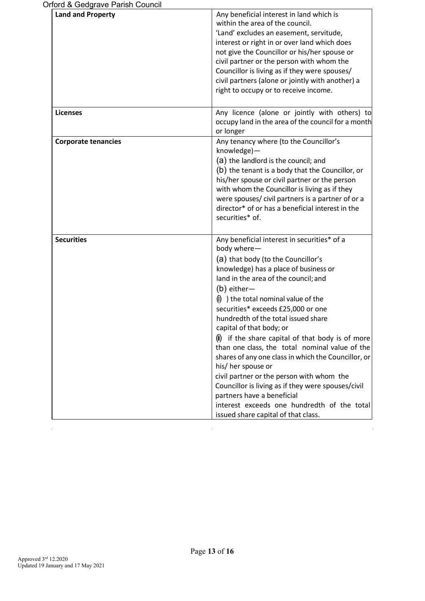| prord & Gedgrave Parish Council |                                                                                                                                                                                                                                                                                                                                                                                                                                                                                                                                                                                                                                                                                                                                                             |
|---------------------------------|-------------------------------------------------------------------------------------------------------------------------------------------------------------------------------------------------------------------------------------------------------------------------------------------------------------------------------------------------------------------------------------------------------------------------------------------------------------------------------------------------------------------------------------------------------------------------------------------------------------------------------------------------------------------------------------------------------------------------------------------------------------|
| <b>Land and Property</b>        | Any beneficial interest in land which is<br>within the area of the council.<br>'Land' excludes an easement, servitude,<br>interest or right in or over land which does<br>not give the Councillor or his/her spouse or<br>civil partner or the person with whom the<br>Councillor is living as if they were spouses/<br>civil partners (alone or jointly with another) a<br>right to occupy or to receive income.                                                                                                                                                                                                                                                                                                                                           |
| <b>Licenses</b>                 | Any licence (alone or jointly with others) to<br>occupy land in the area of the council for a month<br>or longer                                                                                                                                                                                                                                                                                                                                                                                                                                                                                                                                                                                                                                            |
| <b>Corporate tenancies</b>      | Any tenancy where (to the Councillor's<br>knowledge)-<br>(a) the landlord is the council; and<br>(b) the tenant is a body that the Councillor, or<br>his/her spouse or civil partner or the person<br>with whom the Councillor is living as if they<br>were spouses/civil partners is a partner of or a<br>director* of or has a beneficial interest in the<br>securities* of.                                                                                                                                                                                                                                                                                                                                                                              |
| <b>Securities</b>               | Any beneficial interest in securities* of a<br>body where-<br>(a) that body (to the Councillor's<br>knowledge) has a place of business or<br>land in the area of the council; and<br>$(b)$ either-<br>$(i)$ ) the total nominal value of the<br>securities* exceeds £25,000 or one<br>hundredth of the total issued share<br>capital of that body; or<br>if the share capital of that body is of more<br>than one class, the total nominal value of the<br>shares of any one class in which the Councillor, or<br>his/ her spouse or<br>civil partner or the person with whom the<br>Councillor is living as if they were spouses/civil<br>partners have a beneficial<br>interest exceeds one hundredth of the total<br>issued share capital of that class. |

 $\mathcal{L}_{\mathcal{A}}$ 

 $\mathcal{L}_{\text{max}}$ 

 $\mathcal{L}_{\mathcal{L}}$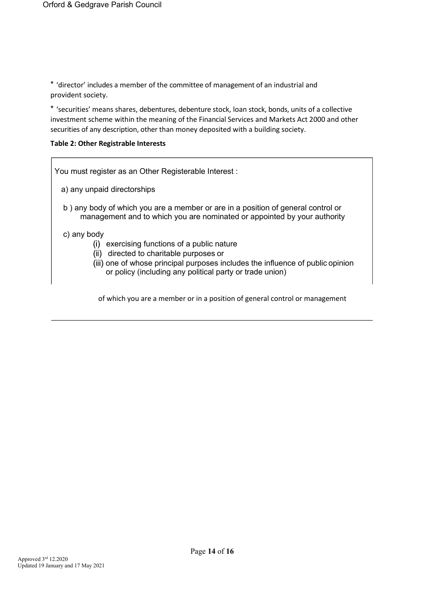\* 'director' includes a member of the committee of management of an industrial and provident society.

\* 'securities' means shares, debentures, debenture stock, loan stock, bonds, units of a collective investment scheme within the meaning of the Financial Services and Markets Act 2000 and other securities of any description, other than money deposited with a building society.

#### **Table 2: Other Registrable Interests**

You must register as an Other Registerable Interest : a) any unpaid directorships b ) any body of which you are a member or are in a position of general control or management and to which you are nominated or appointed by your authority c) any body (i) exercising functions of a public nature (ii) directed to charitable purposes or (iii) one of whose principal purposes includes the influence of public opinion or policy (including any political party or trade union)

of which you are a member or in a position of general control or management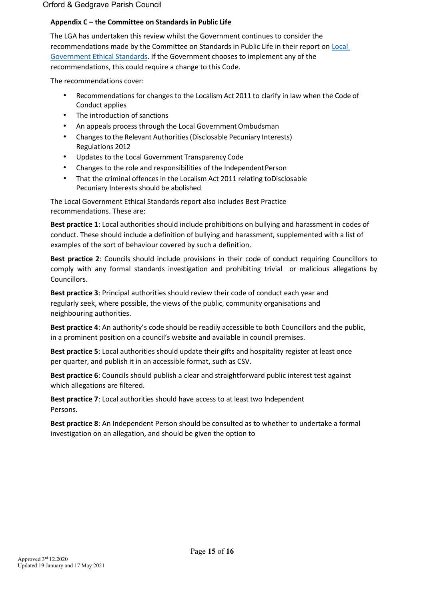### **Appendix C – the Committee on Standards in Public Life**

The LGA has undertaken this review whilst the Government continues to consider the recommendations made by the Committee on Standards in Public Life in their report o[n Local](https://www.gov.uk/government/publications/local-government-ethical-standards-report)  [Government Ethical Standards. I](https://www.gov.uk/government/publications/local-government-ethical-standards-report)f the Government chooses to implement any of the recommendations, this could require a change to this Code.

The recommendations cover:

- Recommendations for changes to the Localism Act 2011 to clarify in law when the Code of Conduct applies
- The introduction of sanctions
- An appeals process through the Local Government Ombudsman
- Changes to the Relevant Authorities(Disclosable Pecuniary Interests) Regulations 2012
- Updates to the Local Government Transparency Code
- Changes to the role and responsibilities of the Independent Person
- That the criminal offences in the Localism Act 2011 relating toDisclosable Pecuniary Interests should be abolished

The Local Government Ethical Standards report also includes Best Practice recommendations. These are:

**Best practice 1**: Local authorities should include prohibitions on bullying and harassment in codes of conduct. These should include a definition of bullying and harassment, supplemented with a list of examples of the sort of behaviour covered by such a definition.

**Best practice 2**: Councils should include provisions in their code of conduct requiring Councillors to comply with any formal standards investigation and prohibiting trivial or malicious allegations by Councillors.

**Best practice 3**: Principal authorities should review their code of conduct each year and regularly seek, where possible, the views of the public, community organisations and neighbouring authorities.

**Best practice 4**: An authority's code should be readily accessible to both Councillors and the public, in a prominent position on a council's website and available in council premises.

**Best practice 5**: Local authorities should update their gifts and hospitality register at least once per quarter, and publish it in an accessible format, such as CSV.

**Best practice 6**: Councils should publish a clear and straightforward public interest test against which allegations are filtered.

**Best practice 7**: Local authorities should have access to at least two Independent Persons.

**Best practice 8**: An Independent Person should be consulted as to whether to undertake a formal investigation on an allegation, and should be given the option to